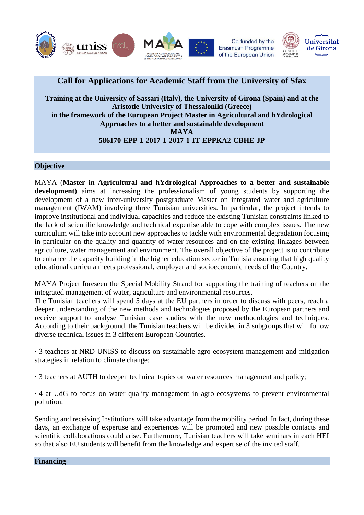

# **Call for Applications for Academic Staff from the University of Sfax**

**Training at the University of Sassari (Italy), the University of Girona (Spain) and at the Aristotle University of Thessaloniki (Greece) in the framework of the European Project Master in Agricultural and hYdrological Approaches to a better and sustainable development MAYA 586170-EPP-1-2017-1-2017-1-IT-EPPKA2-CBHE-JP**

# **Objective**

MAYA (**Master in Agricultural and hYdrological Approaches to a better and sustainable development)** aims at increasing the professionalism of young students by supporting the development of a new inter-university postgraduate Master on integrated water and agriculture management (IWAM) involving three Tunisian universities. In particular, the project intends to improve institutional and individual capacities and reduce the existing Tunisian constraints linked to the lack of scientific knowledge and technical expertise able to cope with complex issues. The new curriculum will take into account new approaches to tackle with environmental degradation focusing in particular on the quality and quantity of water resources and on the existing linkages between agriculture, water management and environment. The overall objective of the project is to contribute to enhance the capacity building in the higher education sector in Tunisia ensuring that high quality educational curricula meets professional, employer and socioeconomic needs of the Country.

MAYA Project foreseen the Special Mobility Strand for supporting the training of teachers on the integrated management of water, agriculture and environmental resources.

The Tunisian teachers will spend 5 days at the EU partners in order to discuss with peers, reach a deeper understanding of the new methods and technologies proposed by the European partners and receive support to analyse Tunisian case studies with the new methodologies and techniques. According to their background, the Tunisian teachers will be divided in 3 subgroups that will follow diverse technical issues in 3 different European Countries.

· 3 teachers at NRD-UNISS to discuss on sustainable agro-ecosystem management and mitigation strategies in relation to climate change;

· 3 teachers at AUTH to deepen technical topics on water resources management and policy;

· 4 at UdG to focus on water quality management in agro-ecosystems to prevent environmental pollution.

Sending and receiving Institutions will take advantage from the mobility period. In fact, during these days, an exchange of expertise and experiences will be promoted and new possible contacts and scientific collaborations could arise. Furthermore, Tunisian teachers will take seminars in each HEI so that also EU students will benefit from the knowledge and expertise of the invited staff.

**Financing**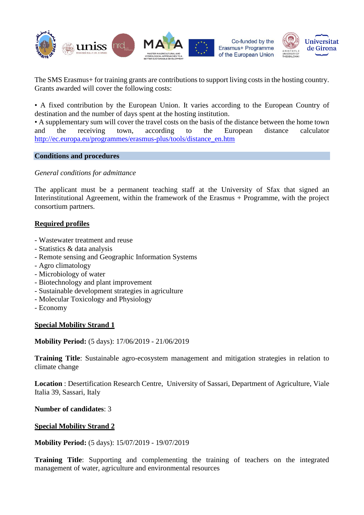

The SMS Erasmus+ for training grants are contributions to support living costs in the hosting country. Grants awarded will cover the following costs:

• A fixed contribution by the European Union. It varies according to the European Country of destination and the number of days spent at the hosting institution.

• A supplementary sum will cover the travel costs on the basis of the distance between the home town and the receiving town, according to the European distance calculator [http://ec.europa.eu/programmes/erasmus-plus/tools/distance\\_en.htm](http://ec.europa.eu/programmes/erasmus-plus/tools/distance_en.htm)

## **Conditions and procedures**

*General conditions for admittance*

The applicant must be a permanent teaching staff at the University of Sfax that signed an Interinstitutional Agreement, within the framework of the Erasmus + Programme, with the project consortium partners.

# **Required profiles**

- Wastewater treatment and reuse
- Statistics & data analysis
- Remote sensing and Geographic Information Systems
- Agro climatology
- Microbiology of water
- Biotechnology and plant improvement
- Sustainable development strategies in agriculture
- Molecular Toxicology and Physiology
- Economy

# **Special Mobility Strand 1**

**Mobility Period:** (5 days): 17/06/2019 - 21/06/2019

**Training Title**: Sustainable agro-ecosystem management and mitigation strategies in relation to climate change

**Location** : Desertification Research Centre, University of Sassari, Department of Agriculture, Viale Italia 39, Sassari, Italy

**Number of candidates**: 3

#### **Special Mobility Strand 2**

**Mobility Period:** (5 days): 15/07/2019 - 19/07/2019

**Training Title**: Supporting and complementing the training of teachers on the integrated management of water, agriculture and environmental resources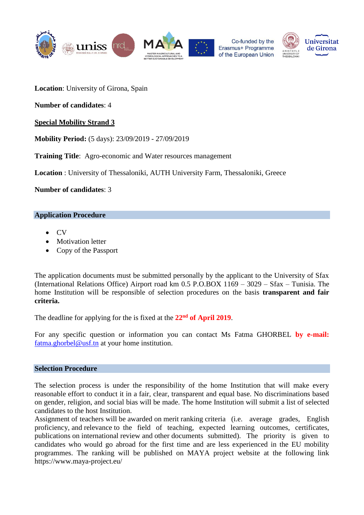

**Location**: University of Girona, Spain

**Number of candidates**: 4

**Special Mobility Strand 3** 

**Mobility Period:** (5 days): 23/09/2019 - 27/09/2019

**Training Title**: Agro-economic and Water resources management

**Location** : University of Thessaloniki, AUTH University Farm, Thessaloniki, Greece

**Number of candidates**: 3

#### **Application Procedure**

- $\overline{C}V$
- Motivation letter
- Copy of the Passport

The application documents must be submitted personally by the applicant to the University of Sfax (International Relations Office) Airport road km 0.5 P.O.BOX 1169 – 3029 – Sfax – Tunisia. The home Institution will be responsible of selection procedures on the basis **transparent and fair criteria.**

The deadline for applying for the is fixed at the **22nd of April 2019**.

For any specific question or information you can contact Ms Fatma GHORBEL **by e-mail:**  $f_{\text{atma.ghorbel@usf}.\text{tn}}$  at your home institution.

## **Selection Procedure**

The selection process is under the responsibility of the home Institution that will make every reasonable effort to conduct it in a fair, clear, transparent and equal base. No discriminations based on gender, religion, and social bias will be made. The home Institution will submit a list of selected candidates to the host Institution.

Assignment of teachers will be awarded on merit ranking criteria (i.e. average grades, English proficiency, and relevance to the field of teaching, expected learning outcomes, certificates, publications on international review and other documents submitted). The priority is given to candidates who would go abroad for the first time and are less experienced in the EU mobility programmes. The ranking will be published on MAYA project website at the following link https://www.maya-project.eu/